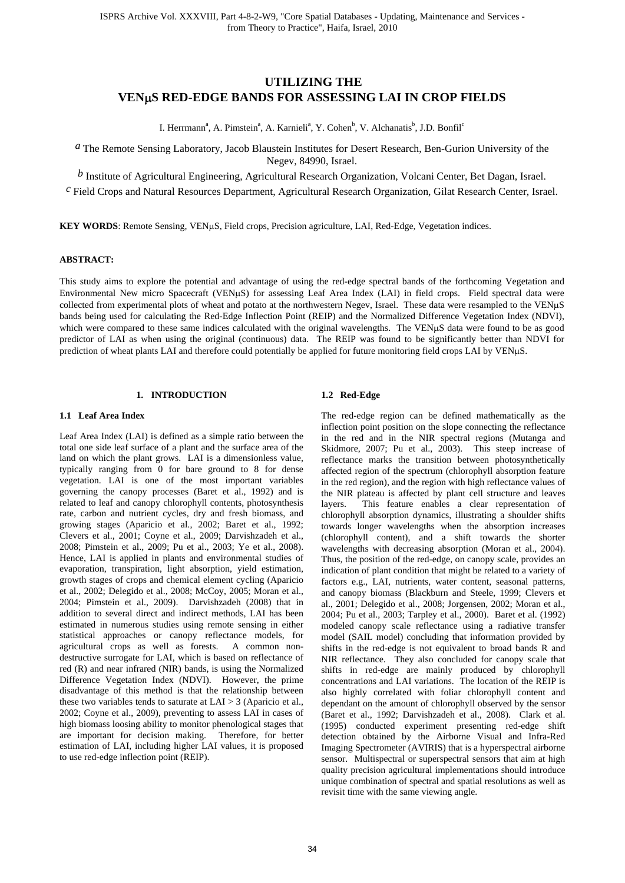# **UTILIZING THE VEN**μ**S RED-EDGE BANDS FOR ASSESSING LAI IN CROP FIELDS**

I. Herrmann<sup>a</sup>, A. Pimstein<sup>a</sup>, A. Karnieli<sup>a</sup>, Y. Cohen<sup>b</sup>, V. Alchanatis<sup>b</sup>, J.D. Bonfil<sup>c</sup>

*a* The Remote Sensing Laboratory, Jacob Blaustein Institutes for Desert Research, Ben-Gurion University of the Negev, 84990, Israel.

*b* Institute of Agricultural Engineering, Agricultural Research Organization, Volcani Center, Bet Dagan, Israel.

*c* Field Crops and Natural Resources Department, Agricultural Research Organization, Gilat Research Center, Israel.

**KEY WORDS**: Remote Sensing, VENμS, Field crops, Precision agriculture, LAI, Red-Edge, Vegetation indices.

## **ABSTRACT:**

This study aims to explore the potential and advantage of using the red-edge spectral bands of the forthcoming Vegetation and Environmental New micro Spacecraft (VENμS) for assessing Leaf Area Index (LAI) in field crops. Field spectral data were collected from experimental plots of wheat and potato at the northwestern Negev, Israel. These data were resampled to the VENμS bands being used for calculating the Red-Edge Inflection Point (REIP) and the Normalized Difference Vegetation Index (NDVI), which were compared to these same indices calculated with the original wavelengths. The VENµS data were found to be as good predictor of LAI as when using the original (continuous) data. The REIP was found to be significantly better than NDVI for prediction of wheat plants LAI and therefore could potentially be applied for future monitoring field crops LAI by VENμS.

## **1. INTRODUCTION**

## **1.1 Leaf Area Index**

Leaf Area Index (LAI) is defined as a simple ratio between the total one side [leaf](http://en.wikipedia.org/wiki/Leaf) surface of a [plant](http://en.wikipedia.org/wiki/Vegetation) and the [surface area](http://en.wikipedia.org/wiki/Surface_area) of the land on which the plant grows. LAI is a [dimensionless](http://en.wikipedia.org/wiki/Dimensionless) value, typically ranging from 0 for bare ground to 8 for dense vegetation. LAI is one of the most important variables governing the canopy processes (Baret et al., 1992) and is related to leaf and canopy chlorophyll contents, photosynthesis rate, carbon and nutrient cycles, dry and fresh biomass, and growing stages (Aparicio et al., 2002; Baret et al., 1992; Clevers et al., 2001; Coyne et al., 2009; Darvishzadeh et al., 2008; Pimstein et al., 2009; Pu et al., 2003; Ye et al., 2008). Hence, LAI is applied in plants and environmental studies of evaporation, transpiration, light absorption, yield estimation, growth stages of crops and chemical element cycling (Aparicio et al., 2002; Delegido et al., 2008; McCoy, 2005; Moran et al., 2004; Pimstein et al., 2009). Darvishzadeh (2008) that in addition to several direct and indirect methods, LAI has been estimated in numerous studies using remote sensing in either statistical approaches or canopy reflectance models, for agricultural crops as well as forests. A common nondestructive surrogate for LAI, which is based on reflectance of red (R) and near infrared (NIR) bands, is using the Normalized Difference Vegetation Index (NDVI). However, the prime disadvantage of this method is that the relationship between these two variables tends to saturate at LAI > 3 (Aparicio et al., 2002; Coyne et al., 2009), preventing to assess LAI in cases of high biomass loosing ability to monitor phenological stages that are important for decision making. Therefore, for better estimation of LAI, including higher LAI values, it is proposed to use red-edge inflection point (REIP).

## **1.2 Red-Edge**

The red-edge region can be defined mathematically as the inflection point position on the slope connecting the reflectance in the red and in the NIR spectral regions (Mutanga and Skidmore, 2007; Pu et al., 2003). This steep increase of reflectance marks the transition between photosynthetically affected region of the spectrum (chlorophyll absorption feature in the red region), and the region with high reflectance values of the NIR plateau is affected by plant cell structure and leaves layers. This feature enables a clear representation of chlorophyll absorption dynamics, illustrating a shoulder shifts towards longer wavelengths when the absorption increases (chlorophyll content), and a shift towards the shorter wavelengths with decreasing absorption (Moran et al., 2004). Thus, the position of the red-edge, on canopy scale, provides an indication of plant condition that might be related to a variety of factors e.g., LAI, nutrients, water content, seasonal patterns, and canopy biomass (Blackburn and Steele, 1999; Clevers et al., 2001; Delegido et al., 2008; Jorgensen, 2002; Moran et al., 2004; Pu et al., 2003; Tarpley et al., 2000). Baret et al. (1992) modeled canopy scale reflectance using a radiative transfer model (SAIL model) concluding that information provided by shifts in the red-edge is not equivalent to broad bands R and NIR reflectance. They also concluded for canopy scale that shifts in red-edge are mainly produced by chlorophyll concentrations and LAI variations. The location of the REIP is also highly correlated with foliar chlorophyll content and dependant on the amount of chlorophyll observed by the sensor (Baret et al., 1992; Darvishzadeh et al., 2008). Clark et al. (1995) conducted experiment presenting red-edge shift detection obtained by the Airborne Visual and Infra-Red Imaging Spectrometer (AVIRIS) that is a hyperspectral airborne sensor. Multispectral or superspectral sensors that aim at high quality precision agricultural implementations should introduce unique combination of spectral and spatial resolutions as well as revisit time with the same viewing angle.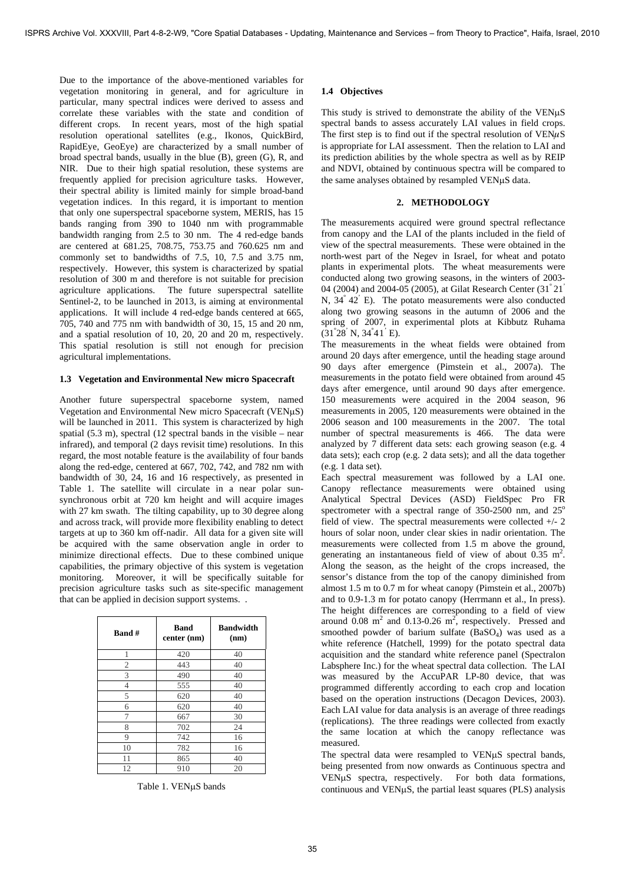Due to the importance of the above-mentioned variables for vegetation monitoring in general, and for agriculture in particular, many spectral indices were derived to assess and correlate these variables with the state and condition of different crops. In recent years, most of the high spatial resolution operational satellites (e.g., Ikonos, QuickBird, RapidEye, GeoEye) are characterized by a small number of broad spectral bands, usually in the blue (B), green (G), R, and NIR. Due to their high spatial resolution, these systems are frequently applied for precision agriculture tasks. However, their spectral ability is limited mainly for simple broad-band vegetation indices. In this regard, it is important to mention that only one superspectral spaceborne system, MERIS, has 15 bands ranging from 390 to 1040 nm with programmable bandwidth ranging from 2.5 to 30 nm. The 4 red-edge bands are centered at 681.25, 708.75, 753.75 and 760.625 nm and commonly set to bandwidths of 7.5, 10, 7.5 and 3.75 nm, respectively. However, this system is characterized by spatial resolution of 300 m and therefore is not suitable for precision agriculture applications. The future superspectral satellite Sentinel-2, to be launched in 2013, is aiming at environmental applications. It will include 4 red-edge bands centered at 665, 705, 740 and 775 nm with bandwidth of 30, 15, 15 and 20 nm, and a spatial resolution of 10, 20, 20 and 20 m, respectively. This spatial resolution is still not enough for precision agricultural implementations.

#### **1.3 Vegetation and Environmental New micro Spacecraft**

Another future superspectral spaceborne system, named Vegetation and Environmental New micro Spacecraft (VENμS) will be launched in 2011. This system is characterized by high spatial  $(5.3 \text{ m})$ , spectral  $(12 \text{ spectral bands in the visible - near})$ infrared), and temporal (2 days revisit time) resolutions. In this regard, the most notable feature is the availability of four bands along the red-edge, centered at 667, 702, 742, and 782 nm with bandwidth of 30, 24, 16 and 16 respectively, as presented in Table 1. The satellite will circulate in a near polar sunsynchronous orbit at 720 km height and will acquire images with 27 km swath. The tilting capability, up to 30 degree along and across track, will provide more flexibility enabling to detect targets at up to 360 km off-nadir. All data for a given site will be acquired with the same observation angle in order to minimize directional effects. Due to these combined unique capabilities, the primary objective of this system is vegetation monitoring. Moreover, it will be specifically suitable for precision agriculture tasks such as site-specific management that can be applied in decision support systems. .

| <b>Band#</b>   | <b>Band</b><br>center (nm) | <b>Bandwidth</b><br>(nm) |  |  |  |
|----------------|----------------------------|--------------------------|--|--|--|
| 1              | 420                        | 40                       |  |  |  |
| $\overline{c}$ | 443                        | 40                       |  |  |  |
| 3              | 490                        | 40                       |  |  |  |
| $\overline{4}$ | 555                        | 40                       |  |  |  |
| 5              | 620                        | 40                       |  |  |  |
| 6              | 620                        | 40                       |  |  |  |
| 7              | 667                        | 30                       |  |  |  |
| 8              | 702                        | 24                       |  |  |  |
| 9              | 742                        | 16                       |  |  |  |
| 10             | 782                        | 16                       |  |  |  |
| 11             | 865                        | 40                       |  |  |  |
| 12             | 910                        | 20                       |  |  |  |

Table 1. VENμS bands

#### **1.4 Objectives**

This study is strived to demonstrate the ability of the VENμS spectral bands to assess accurately LAI values in field crops. The first step is to find out if the spectral resolution of  $VEN\mu S$ is appropriate for LAI assessment. Then the relation to LAI and its prediction abilities by the whole spectra as well as by REIP and NDVI, obtained by continuous spectra will be compared to the same analyses obtained by resampled VENμS data.

## **2. METHODOLOGY**

The measurements acquired were ground spectral reflectance from canopy and the LAI of the plants included in the field of view of the spectral measurements. These were obtained in the north-west part of the Negev in Israel, for wheat and potato plants in experimental plots. The wheat measurements were conducted along two growing seasons, in the winters of 2003- 04 (2004) and 2004-05 (2005), at Gilat Research Center (31° 21' N, 34° 42' E). The potato measurements were also conducted along two growing seasons in the autumn of 2006 and the spring of 2007, in experimental plots at Kibbutz Ruhama  $(31°28' N, 34°41' E).$ 

The measurements in the wheat fields were obtained from around 20 days after emergence, until the heading stage around 90 days after emergence (Pimstein et al., 2007a). The measurements in the potato field were obtained from around 45 days after emergence, until around 90 days after emergence. 150 measurements were acquired in the 2004 season, 96 measurements in 2005, 120 measurements were obtained in the 2006 season and 100 measurements in the 2007. The total number of spectral measurements is 466. The data were analyzed by 7 different data sets: each growing season (e.g. 4 data sets); each crop (e.g. 2 data sets); and all the data together (e.g. 1 data set).

Each spectral measurement was followed by a LAI one. Canopy reflectance measurements were obtained using Analytical Spectral Devices (ASD) FieldSpec Pro FR spectrometer with a spectral range of  $350-2500$  nm, and  $25^\circ$ field of view. The spectral measurements were collected +/- 2 hours of solar noon, under clear skies in nadir orientation. The measurements were collected from 1.5 m above the ground, generating an instantaneous field of view of about  $0.35 \text{ m}^2$ . Along the season, as the height of the crops increased, the sensor's distance from the top of the canopy diminished from almost 1.5 m to 0.7 m for wheat canopy (Pimstein et al., 2007b) and to 0.9-1.3 m for potato canopy (Herrmann et al., In press). The height differences are corresponding to a field of view around  $0.08 \text{ m}^2$  and  $0.13$ -0.26 m<sup>2</sup>, respectively. Pressed and smoothed powder of barium sulfate  $(BaSO<sub>4</sub>)$  was used as a white reference (Hatchell, 1999) for the potato spectral data acquisition and the standard white reference panel (Spectralon Labsphere Inc.) for the wheat spectral data collection. The LAI was measured by the AccuPAR LP-80 device, that was programmed differently according to each crop and location based on the operation instructions (Decagon Devices, 2003). Each LAI value for data analysis is an average of three readings (replications). The three readings were collected from exactly the same location at which the canopy reflectance was measured.

The spectral data were resampled to VENμS spectral bands, being presented from now onwards as Continuous spectra and VENμS spectra, respectively. For both data formations, continuous and VENμS, the partial least squares (PLS) analysis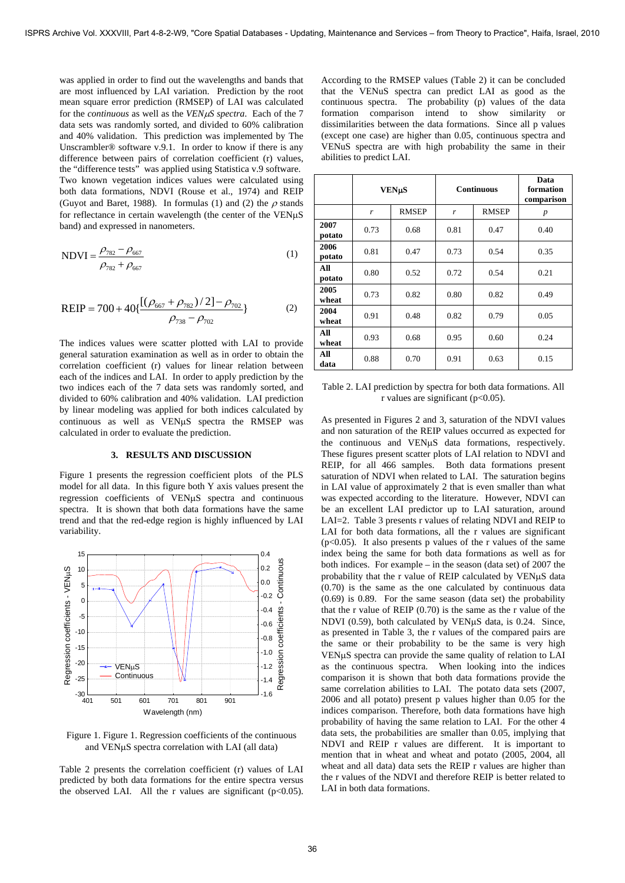was applied in order to find out the wavelengths and bands that are most influenced by LAI variation. Prediction by the root mean square error prediction (RMSEP) of LAI was calculated for the *continuous* as well as the *VEN*μ*S spectra*. Each of the 7 data sets was randomly sorted, and divided to 60% calibration and 40% validation. This prediction was implemented by The Unscrambler<sup>®</sup> software v.9.1. In order to know if there is any difference between pairs of correlation coefficient (r) values, the "difference tests" was applied using Statistica v.9 software. Two known vegetation indices values were calculated using both data formations, NDVI (Rouse et al., 1974) and REIP (Guyot and Baret, 1988). In formulas (1) and (2) the  $\rho$  stands for reflectance in certain wavelength (the center of the VENμS band) and expressed in nanometers.

$$
NDVI = \frac{\rho_{782} - \rho_{667}}{\rho_{782} + \rho_{667}}
$$
 (1)

REIP = 
$$
700 + 40\{\frac{[(\rho_{667} + \rho_{782})/2] - \rho_{702}}{\rho_{738} - \rho_{702}}\}
$$
 (2)

The indices values were scatter plotted with LAI to provide general saturation examination as well as in order to obtain the correlation coefficient (r) values for linear relation between each of the indices and LAI. In order to apply prediction by the two indices each of the 7 data sets was randomly sorted, and divided to 60% calibration and 40% validation. LAI prediction by linear modeling was applied for both indices calculated by continuous as well as VENμS spectra the RMSEP was calculated in order to evaluate the prediction.

## **3. RESULTS AND DISCUSSION**

Figure 1 presents the regression coefficient plots of the PLS model for all data. In this figure both Y axis values present the regression coefficients of VENμS spectra and continuous spectra. It is shown that both data formations have the same trend and that the red-edge region is highly influenced by LAI variability.



Figure 1. Figure 1. Regression coefficients of the continuous and VENμS spectra correlation with LAI (all data)

Table 2 presents the correlation coefficient (r) values of LAI predicted by both data formations for the entire spectra versus the observed LAI. All the r values are significant  $(p<0.05)$ . According to the RMSEP values (Table 2) it can be concluded that the VENuS spectra can predict LAI as good as the continuous spectra. The probability (p) values of the data formation comparison intend to show similarity or dissimilarities between the data formations. Since all p values (except one case) are higher than 0.05, continuous spectra and VENuS spectra are with high probability the same in their abilities to predict LAI.

|                |      | <b>VENuS</b> |      | <b>Continuous</b> | Data<br>formation<br>comparison |
|----------------|------|--------------|------|-------------------|---------------------------------|
|                | r    | <b>RMSEP</b> | r    | $\boldsymbol{p}$  |                                 |
| 2007<br>potato | 0.73 | 0.68         | 0.81 | 0.47              | 0.40                            |
| 2006<br>potato | 0.81 | 0.47         | 0.73 | 0.54              | 0.35                            |
| All<br>potato  | 0.80 | 0.52         | 0.72 | 0.54              | 0.21                            |
| 2005<br>wheat  | 0.73 | 0.82         | 0.80 | 0.82              | 0.49                            |
| 2004<br>wheat  | 0.91 | 0.48         | 0.82 | 0.79              | 0.05                            |
| All<br>wheat   | 0.93 | 0.68         | 0.95 | 0.60              | 0.24                            |
| All<br>data    | 0.88 | 0.70         | 0.91 | 0.63              | 0.15                            |

Table 2. LAI prediction by spectra for both data formations. All r values are significant ( $p < 0.05$ ).

As presented in Figures 2 and 3, saturation of the NDVI values and non saturation of the REIP values occurred as expected for the continuous and VENμS data formations, respectively. These figures present scatter plots of LAI relation to NDVI and REIP, for all 466 samples. Both data formations present saturation of NDVI when related to LAI. The saturation begins in LAI value of approximately 2 that is even smaller than what was expected according to the literature. However, NDVI can be an excellent LAI predictor up to LAI saturation, around LAI=2. Table 3 presents r values of relating NDVI and REIP to LAI for both data formations, all the r values are significant ( $p$ <0.05). It also presents p values of the r values of the same index being the same for both data formations as well as for both indices. For example – in the season (data set) of 2007 the probability that the r value of REIP calculated by VENμS data (0.70) is the same as the one calculated by continuous data (0.69) is 0.89. For the same season (data set) the probability that the r value of REIP (0.70) is the same as the r value of the NDVI (0.59), both calculated by VENμS data, is 0.24. Since, as presented in Table 3, the r values of the compared pairs are the same or their probability to be the same is very high VENμS spectra can provide the same quality of relation to LAI as the continuous spectra. When looking into the indices comparison it is shown that both data formations provide the same correlation abilities to LAI. The potato data sets (2007, 2006 and all potato) present p values higher than 0.05 for the indices comparison. Therefore, both data formations have high probability of having the same relation to LAI. For the other 4 data sets, the probabilities are smaller than 0.05, implying that NDVI and REIP r values are different. It is important to mention that in wheat and wheat and potato (2005, 2004, all wheat and all data) data sets the REIP r values are higher than the r values of the NDVI and therefore REIP is better related to LAI in both data formations.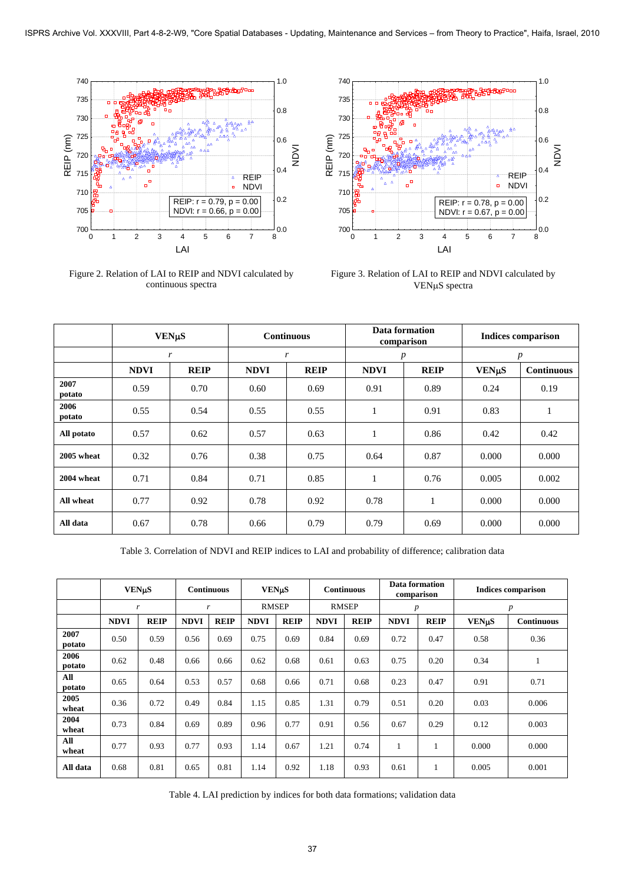

Figure 2. Relation of LAI to REIP and NDVI calculated by continuous spectra



Figure 3. Relation of LAI to REIP and NDVI calculated by VENμS spectra

|                | <b>VEN<sub>µ</sub>S</b> |             |             | <b>Continuous</b> | comparison       | Data formation | <b>Indices comparison</b> |                   |  |
|----------------|-------------------------|-------------|-------------|-------------------|------------------|----------------|---------------------------|-------------------|--|
|                | r                       |             |             | r                 | $\boldsymbol{p}$ |                | $\boldsymbol{p}$          |                   |  |
|                | <b>NDVI</b>             | <b>REIP</b> | <b>NDVI</b> | <b>REIP</b>       | <b>NDVI</b>      | <b>REIP</b>    | <b>VEN<sub>µ</sub>S</b>   | <b>Continuous</b> |  |
| 2007<br>potato | 0.59                    | 0.70        | 0.60        | 0.69              | 0.91             | 0.89           | 0.24                      | 0.19              |  |
| 2006<br>potato | 0.55                    | 0.54        | 0.55        | 0.55              |                  | 0.91           | 0.83                      | T                 |  |
| All potato     | 0.57                    | 0.62        | 0.57        | 0.63              | 1                | 0.86           | 0.42                      | 0.42              |  |
| 2005 wheat     | 0.32                    | 0.76        | 0.38        | 0.75              | 0.64             | 0.87           | 0.000                     | 0.000             |  |
| 2004 wheat     | 0.71                    | 0.84        | 0.71        | 0.85              | 1                | 0.76           | 0.005                     | 0.002             |  |
| All wheat      | 0.77                    | 0.92        | 0.78        | 0.92              | 0.78             |                | 0.000                     | 0.000             |  |
| All data       | 0.67                    | 0.78        | 0.66        | 0.79              | 0.79             | 0.69           | 0.000                     | 0.000             |  |

Table 3. Correlation of NDVI and REIP indices to LAI and probability of difference; calibration data

|                | <b>VENuS</b> |             | <b>Continuous</b> |             | <b>VEN<sub>µ</sub>S</b> |             |              | <b>Continuous</b> | Data formation<br>comparison |             | <b>Indices comparison</b> |                   |
|----------------|--------------|-------------|-------------------|-------------|-------------------------|-------------|--------------|-------------------|------------------------------|-------------|---------------------------|-------------------|
|                | r            |             | r                 |             | <b>RMSEP</b>            |             | <b>RMSEP</b> |                   | $\boldsymbol{p}$             |             | $\boldsymbol{p}$          |                   |
|                | <b>NDVI</b>  | <b>REIP</b> | <b>NDVI</b>       | <b>REIP</b> | <b>NDVI</b>             | <b>REIP</b> | <b>NDVI</b>  | <b>REIP</b>       | <b>NDVI</b>                  | <b>REIP</b> | <b>VENuS</b>              | <b>Continuous</b> |
| 2007<br>potato | 0.50         | 0.59        | 0.56              | 0.69        | 0.75                    | 0.69        | 0.84         | 0.69              | 0.72                         | 0.47        | 0.58                      | 0.36              |
| 2006<br>potato | 0.62         | 0.48        | 0.66              | 0.66        | 0.62                    | 0.68        | 0.61         | 0.63              | 0.75                         | 0.20        | 0.34                      | 1                 |
| All<br>potato  | 0.65         | 0.64        | 0.53              | 0.57        | 0.68                    | 0.66        | 0.71         | 0.68              | 0.23                         | 0.47        | 0.91                      | 0.71              |
| 2005<br>wheat  | 0.36         | 0.72        | 0.49              | 0.84        | 1.15                    | 0.85        | 1.31         | 0.79              | 0.51                         | 0.20        | 0.03                      | 0.006             |
| 2004<br>wheat  | 0.73         | 0.84        | 0.69              | 0.89        | 0.96                    | 0.77        | 0.91         | 0.56              | 0.67                         | 0.29        | 0.12                      | 0.003             |
| All<br>wheat   | 0.77         | 0.93        | 0.77              | 0.93        | 1.14                    | 0.67        | 1.21         | 0.74              |                              | -1          | 0.000                     | 0.000             |
| All data       | 0.68         | 0.81        | 0.65              | 0.81        | 1.14                    | 0.92        | 1.18         | 0.93              | 0.61                         |             | 0.005                     | 0.001             |

Table 4. LAI prediction by indices for both data formations; validation data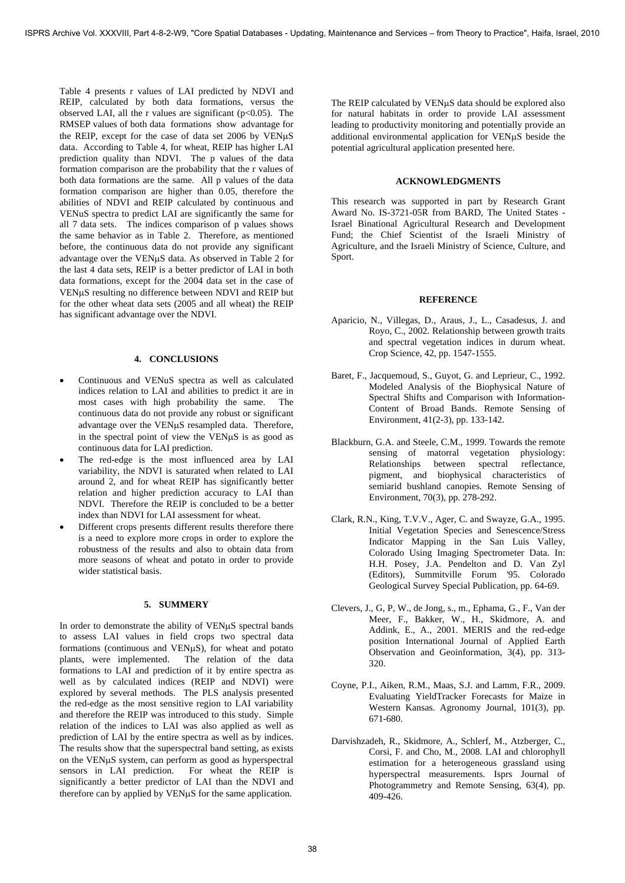Table 4 presents r values of LAI predicted by NDVI and REIP, calculated by both data formations, versus the observed LAI, all the r values are significant ( $p<0.05$ ). The RMSEP values of both data formations show advantage for the REIP, except for the case of data set 2006 by VENμS data. According to Table 4, for wheat, REIP has higher LAI prediction quality than NDVI. The p values of the data formation comparison are the probability that the r values of both data formations are the same. All p values of the data formation comparison are higher than 0.05, therefore the abilities of NDVI and REIP calculated by continuous and VENuS spectra to predict LAI are significantly the same for all 7 data sets. The indices comparison of p values shows the same behavior as in Table 2. Therefore, as mentioned before, the continuous data do not provide any significant advantage over the VENμS data. As observed in Table 2 for the last 4 data sets, REIP is a better predictor of LAI in both data formations, except for the 2004 data set in the case of VENμS resulting no difference between NDVI and REIP but for the other wheat data sets (2005 and all wheat) the REIP has significant advantage over the NDVI.

#### **4. CONCLUSIONS**

- Continuous and VENuS spectra as well as calculated indices relation to LAI and abilities to predict it are in most cases with high probability the same. The continuous data do not provide any robust or significant advantage over the VENμS resampled data. Therefore, in the spectral point of view the VENμS is as good as continuous data for LAI prediction.
- The red-edge is the most influenced area by LAI variability, the NDVI is saturated when related to LAI around 2, and for wheat REIP has significantly better relation and higher prediction accuracy to LAI than NDVI. Therefore the REIP is concluded to be a better index than NDVI for LAI assessment for wheat.
- Different crops presents different results therefore there is a need to explore more crops in order to explore the robustness of the results and also to obtain data from more seasons of wheat and potato in order to provide wider statistical basis.

## **5. SUMMERY**

In order to demonstrate the ability of VENμS spectral bands to assess LAI values in field crops two spectral data formations (continuous and VENμS), for wheat and potato plants, were implemented. The relation of the data formations to LAI and prediction of it by entire spectra as well as by calculated indices (REIP and NDVI) were explored by several methods. The PLS analysis presented the red-edge as the most sensitive region to LAI variability and therefore the REIP was introduced to this study. Simple relation of the indices to LAI was also applied as well as prediction of LAI by the entire spectra as well as by indices. The results show that the superspectral band setting, as exists on the VENμS system, can perform as good as hyperspectral sensors in LAI prediction. For wheat the REIP is significantly a better predictor of LAI than the NDVI and therefore can by applied by VENμS for the same application.

The REIP calculated by VENμS data should be explored also for natural habitats in order to provide LAI assessment leading to productivity monitoring and potentially provide an additional environmental application for VENμS beside the potential agricultural application presented here.

## **ACKNOWLEDGMENTS**

This research was supported in part by Research Grant Award No. IS-3721-05R from BARD, The United States - Israel Binational Agricultural Research and Development Fund; the Chief Scientist of the Israeli Ministry of Agriculture, and the Israeli Ministry of Science, Culture, and Sport.

#### **REFERENCE**

- Aparicio, N., Villegas, D., Araus, J., L., Casadesus, J. and Royo, C., 2002. Relationship between growth traits and spectral vegetation indices in durum wheat. Crop Science, 42, pp. 1547-1555.
- Baret, F., Jacquemoud, S., Guyot, G. and Leprieur, C., 1992. Modeled Analysis of the Biophysical Nature of Spectral Shifts and Comparison with Information-Content of Broad Bands. Remote Sensing of Environment, 41(2-3), pp. 133-142.
- Blackburn, G.A. and Steele, C.M., 1999. Towards the remote sensing of matorral vegetation physiology: Relationships between spectral reflectance, pigment, and biophysical characteristics of semiarid bushland canopies. Remote Sensing of Environment, 70(3), pp. 278-292.
- Clark, R.N., King, T.V.V., Ager, C. and Swayze, G.A., 1995. Initial Vegetation Species and Senescence/Stress Indicator Mapping in the San Luis Valley, Colorado Using Imaging Spectrometer Data. In: H.H. Posey, J.A. Pendelton and D. Van Zyl (Editors), Summitville Forum '95. Colorado Geological Survey Special Publication, pp. 64-69.
- Clevers, J., G, P, W., de Jong, s., m., Ephama, G., F., Van der Meer, F., Bakker, W., H., Skidmore, A. and Addink, E., A., 2001. MERIS and the red-edge position International Journal of Applied Earth Observation and Geoinformation, 3(4), pp. 313- 320.
- Coyne, P.I., Aiken, R.M., Maas, S.J. and Lamm, F.R., 2009. Evaluating YieldTracker Forecasts for Maize in Western Kansas. Agronomy Journal, 101(3), pp. 671-680.
- Darvishzadeh, R., Skidmore, A., Schlerf, M., Atzberger, C., Corsi, F. and Cho, M., 2008. LAI and chlorophyll estimation for a heterogeneous grassland using hyperspectral measurements. Isprs Journal of Photogrammetry and Remote Sensing, 63(4), pp. 409-426.